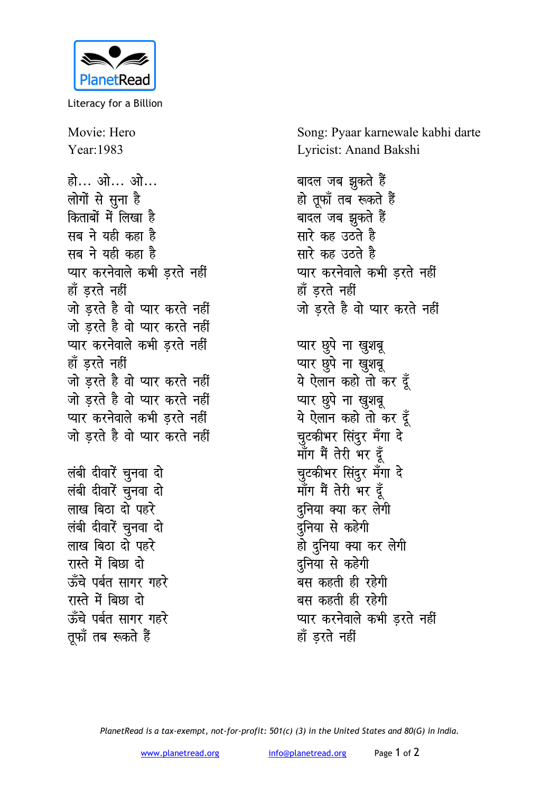

Literacy for a Billion

Movie: Hero Year:1983 हो... ओ... ओ... लोगों से सूना है किताबों में लिखा है सब ने यही कहा ह<del>ै</del> सब ने यही कहा ह<del>ै</del> प्यार करनेवाले कभी **ड़रते** नहीं हाँ **डरते** नहीं <u>जो डरते है वो प्यार करते नहीं</u> <u>जो डरते है वो प्यार करते नहीं</u> प्यार करनेवाले कभी **इरते** नहीं हाँ डरते नहीं <u>जो डरते है वो प्यार करते नहीं</u> <u>जो डरते है वो प्यार करते नहीं</u> प्यार करनेवाले कभी **ड़रते** नहीं <u>जो इरते है वो प्यार करते नहीं</u> *लंबी दीवारें चुनवा दो लं*बी दीवारें चुनवा दो लाख बिठा दो पहर<del>े</del> लंबी दीवारें चुनवा दो लाख बिठा दो पहर<del>े</del> रास्ते में बिछा दो ऊँचे पर्बत सागर ग**ह**रे रास्ते में बिछा दो ऊँचे पर्बत सागर गहरे

तूफॉ तब रूकते हैं

Song: Pyaar karnewale kabhi darte Lyricist: Anand Bakshi

बादल जब झुकते है<del>ं</del> हो तूफॉ तब रूकते हैं बादल जब झुकते हैं **सारे कह उठते है सारे** कह उठते है **प्यार करनेवाले कभी डरते नहीं** हाँ **डरते** नहीं <u>जो डरते है वो प्यार करते नहीं</u> प्यार छुपे ना खुशबू प्यार छुपे ना खुशबू ये ऐलान कहो तो कर दूँ प्यार छुपे ना खुशबू ये ऐलान कहो तो कर दूँ चुटकीभर सिंदुर मँगा **दे** माँग मैं तेरी भर द<del>ु</del>ँ <u>च</u>ूटकीभर सिंदुर मँगा दे माँग मैं तेरी भर दूँ दनिया क्या कर **लेगी** <u>दु</u>निया से कहेगी हो दुनिया क्या कर लेगी दनिया से क**हेगी** बस कहती ही रहेगी बस कहती ही **रहेगी प्यार करनेवाले कभी डरते नहीं** हाँ डरते नहीं

*PlanetRead is a tax-exempt, not-for-profit: 501(c) (3) in the United States and 80(G) in India.*